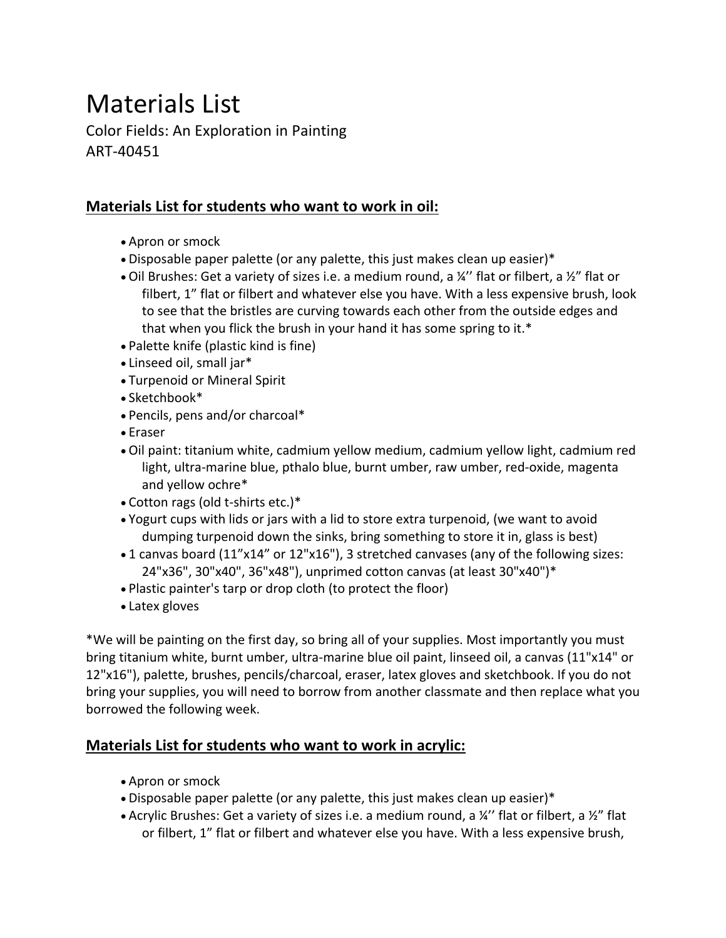## Materials List

Color Fields: An Exploration in Painting ART-40451

## **Materials List for students who want to work in oil:**

- Apron or smock
- Disposable paper palette (or any palette, this just makes clean up easier)\*
- Oil Brushes: Get a variety of sizes i.e. a medium round, a  $\frac{1}{4}$ " flat or filbert, a  $\frac{1}{2}$ " flat or filbert, 1" flat or filbert and whatever else you have. With a less expensive brush, look to see that the bristles are curving towards each other from the outside edges and that when you flick the brush in your hand it has some spring to it.\*
- Palette knife (plastic kind is fine)
- Linseed oil, small jar\*
- Turpenoid or Mineral Spirit
- Sketchbook\*
- Pencils, pens and/or charcoal\*
- Eraser
- Oil paint: titanium white, cadmium yellow medium, cadmium yellow light, cadmium red light, ultra-marine blue, pthalo blue, burnt umber, raw umber, red-oxide, magenta and yellow ochre\*
- Cotton rags (old t-shirts etc.)\*
- Yogurt cups with lids or jars with a lid to store extra turpenoid, (we want to avoid dumping turpenoid down the sinks, bring something to store it in, glass is best)
- 1 canvas board (11"x14" or 12"x16"), 3 stretched canvases (any of the following sizes: 24"x36", 30"x40", 36"x48"), unprimed cotton canvas (at least 30"x40")\*
- Plastic painter's tarp or drop cloth (to protect the floor)
- Latex gloves

\*We will be painting on the first day, so bring all of your supplies. Most importantly you must bring titanium white, burnt umber, ultra-marine blue oil paint, linseed oil, a canvas (11"x14" or 12"x16"), palette, brushes, pencils/charcoal, eraser, latex gloves and sketchbook. If you do not bring your supplies, you will need to borrow from another classmate and then replace what you borrowed the following week.

## **Materials List for students who want to work in acrylic:**

- Apron or smock
- Disposable paper palette (or any palette, this just makes clean up easier)\*
- Acrylic Brushes: Get a variety of sizes i.e. a medium round, a ¼'' flat or filbert, a ½" flat or filbert, 1" flat or filbert and whatever else you have. With a less expensive brush,